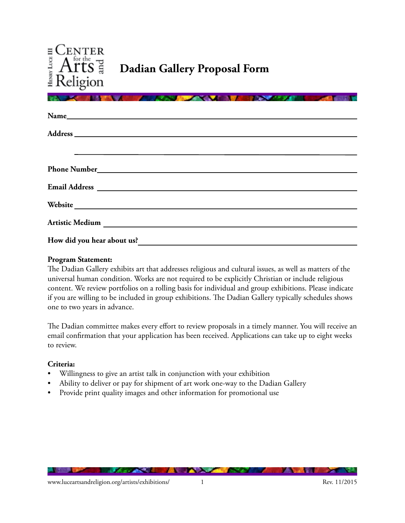

| Website News Art 2008      |
|----------------------------|
|                            |
|                            |
| How did you hear about us? |

### **Program Statement:**

The Dadian Gallery exhibits art that addresses religious and cultural issues, as well as matters of the universal human condition. Works are not required to be explicitly Christian or include religious content. We review portfolios on a rolling basis for individual and group exhibitions. Please indicate if you are willing to be included in group exhibitions. The Dadian Gallery typically schedules shows one to two years in advance.

The Dadian committee makes every effort to review proposals in a timely manner. You will receive an email confirmation that your application has been received. Applications can take up to eight weeks to review.

#### **Criteria:**

- Willingness to give an artist talk in conjunction with your exhibition
- Ability to deliver or pay for shipment of art work one-way to the Dadian Gallery
- Provide print quality images and other information for promotional use

**CONTACT AND INCOME.** 

**TENESTER** 

**ALL** 

**AND A STATE OF**